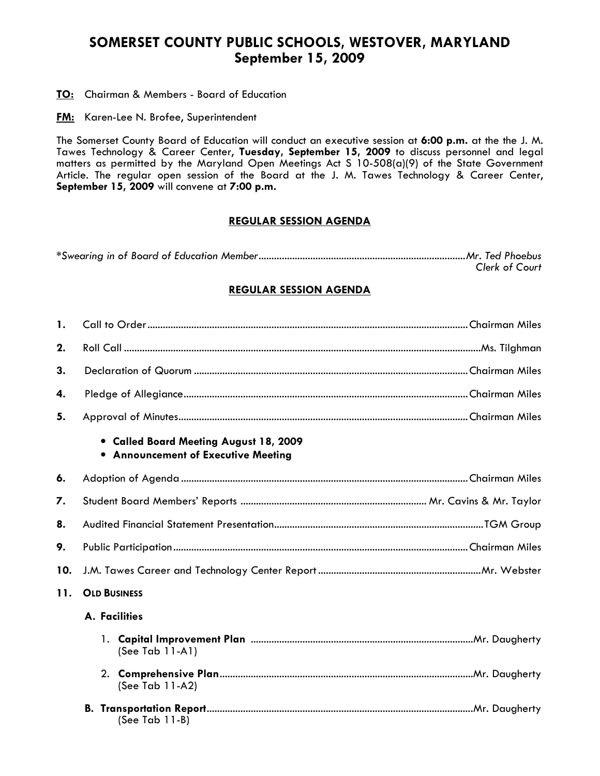# SOMERSET COUNTY PUBLIC SCHOOLS, WESTOVER, MARYLAND September 15, 2009

TO: Chairman & Members - Board of Education

**FM:** Karen-Lee N. Brofee, Superintendent

The Somerset County Board of Education will conduct an executive session at 6:00 p.m. at the the J. M. Tawes Technology & Career Center, Tuesday, September 15, 2009 to discuss personnel and legal matters as permitted by the Maryland Open Meetings Act S 10-508(a)(9) of the State Government Article. The regular open session of the Board at the J. M. Tawes Technology & Career Center, September 15, 2009 will convene at 7:00 p.m.

## REGULAR SESSION AGENDA

| <b>Clerk of Court</b> |
|-----------------------|

## REGULAR SESSION AGENDA

| 1.  |                                                                                      |  |  |  |  |  |
|-----|--------------------------------------------------------------------------------------|--|--|--|--|--|
| 2.  |                                                                                      |  |  |  |  |  |
| 3.  |                                                                                      |  |  |  |  |  |
| 4.  |                                                                                      |  |  |  |  |  |
| 5.  |                                                                                      |  |  |  |  |  |
|     | • Called Board Meeting August 18, 2009<br><b>• Announcement of Executive Meeting</b> |  |  |  |  |  |
| 6.  |                                                                                      |  |  |  |  |  |
| 7.  |                                                                                      |  |  |  |  |  |
| 8.  |                                                                                      |  |  |  |  |  |
| 9.  |                                                                                      |  |  |  |  |  |
| 10. |                                                                                      |  |  |  |  |  |
| 11. | <b>OLD BUSINESS</b>                                                                  |  |  |  |  |  |
|     | A. Facilities                                                                        |  |  |  |  |  |
|     | 1.<br>(See Tab $11-A1$ )                                                             |  |  |  |  |  |
|     | (See Tab $11-A2$ )                                                                   |  |  |  |  |  |
|     | В.<br>(See Tab $11-B$ )                                                              |  |  |  |  |  |